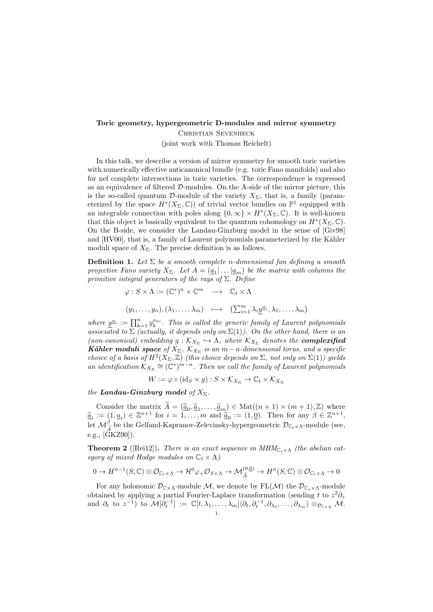## Toric geometry, hypergeometric D-modules and mirror symmetry

Christian Sevenheck (joint work with Thomas Reichelt)

In this talk, we describe a version of mirror symmetry for smooth toric varieties with numerically effective anticanonical bundle (e.g. toric Fano manifolds) and also for nef complete intersections in toric varieties. The correspondence is expressed as an equivalence of filtered D-modules. On the A-side of the mirror picture, this is the so-called quantum D-module of the variety  $X_{\Sigma}$ , that is, a family (parameterized by the space  $H^*(X_\Sigma,\mathbb{C})$  of trivial vector bundles on  $\mathbb{P}^1$  equipped with an integrable connection with poles along  $\{0,\infty\} \times H^*(X_\Sigma,\mathbb{C})$ . It is well-known that this object is basically equivalent to the quantum cohomology on  $H^*(X_\Sigma,\mathbb{C})$ . On the B-side, we consider the Landau-Ginzburg model in the sense of [Giv98] and [HV00], that is, a family of Laurent polynomials parameterized by the Kähler moduli space of  $X_{\Sigma}$ . The precise definition is as follows.

**Definition 1.** Let  $\Sigma$  be a smooth complete n-dimensional fan defining a smooth projective Fano variety  $X_{\Sigma}$ . Let  $A = (a_1 | \dots | a_m)$  be the matrix with columns the primitive integral generators of the rays of  $\Sigma$ . Define

$$
\varphi : S \times \Lambda := (\mathbb{C}^*)^n \times \mathbb{C}^m \longrightarrow \mathbb{C}_t \times \Lambda
$$
  

$$
(y_1, \dots, y_n), (\lambda_1, \dots, \lambda_m) \longmapsto (\sum_{i=1}^m \lambda_i \underline{y}^{a_i}, \lambda_1, \dots, \lambda_m)
$$

where  $\underline{y}^{\underline{a}_i} := \prod_{k=1}^n y_k^{a_{ki}}$ . This is called the generic family of Laurent polynomials associated to  $\Sigma$  (actually, it depends only on  $\Sigma(1)$ ). On the other hand, there is an (non-canonical) embedding  $g : \mathcal{K}_{X_{\Sigma}} \to \Lambda$ , where  $\mathcal{K}_{X_{\Sigma}}$  denotes the **complexified Kähler moduli space** of  $X_{\Sigma}$ .  $\mathcal{K}_{X_{\Sigma}}$  is an m - n-dimensional torus, and a specific choice of a basis of  $H^2(X_\Sigma, \mathbb{Z})$  (this choice depends on  $\Sigma$ , not only on  $\Sigma(1)$ ) yields an identification  $K_{X_{\Sigma}} \cong (\mathbb{C}^*)^{m-n}$ . Then we call the family of Laurent polynomials

$$
W := \varphi \circ (\mathrm{id}_S \times g) : S \times \mathcal{K}_{X_{\Sigma}} \to \mathbb{C}_t \times \mathcal{K}_{X_{\Sigma}}
$$

the **Landau-Ginzburg** model of  $X_{\Sigma}$ .

Consider the matrix  $\widetilde{A} = (\underline{\widetilde{a}}_0, \underline{\widetilde{a}}_1, \ldots, \underline{\widetilde{a}}_m) \in Mat((n+1) \times (m+1), \mathbb{Z})$  where  $:= (1, c) \in \mathbb{Z}^{n+1}$  for  $i = 1$  m and  $\widetilde{a} := (1, 0)$ . Then for any  $\beta \in \mathbb{Z}^{n+1}$  $\widetilde{\underline{a}}_i := (1, \underline{a}_i) \in \mathbb{Z}^{n+1}$  for  $i = 1, \ldots, m$  and  $\widetilde{\underline{a}}_0 := (1, \underline{0})$ . Then for any  $\beta \in \mathbb{Z}^{n+1}$ , let  $\mathcal{M}_{\tilde{A}}^{\beta}$  be the Gelfand-Kapranov-Zelevinsky-hypergeometric  $\mathcal{D}_{\mathbb{C}_t \times \Lambda}$ -module (see, e.g.,  $[\tilde{G}KZ90]$ ).

**Theorem 2** ([Rei12]). There is an exact sequence in  $MHM_{C_t \times \Lambda}$  (the abelian category of mixed Hodge modules on  $\mathbb{C}_t \times \Lambda$ )

$$
0 \to H^{n-1}(S, \mathbb{C}) \otimes \mathcal{O}_{\mathbb{C}_t \times \Lambda} \to \mathcal{H}^0 \varphi_+ \mathcal{O}_{S \times \Lambda} \to \mathcal{M}_{\widetilde{A}}^{(0,0)} \to H^n(S, \mathbb{C}) \otimes \mathcal{O}_{\mathbb{C}_t \times \Lambda} \to 0
$$

For any holonomic  $\mathcal{D}_{\mathbb{C}\times\Lambda}$ -module M, we denote by  $FL(\mathcal{M})$  the  $\mathcal{D}_{\mathbb{C}_{z}\times\Lambda}$ -module obtained by applying a partial Fourier-Laplace transformation (sending t to  $z^2\partial_z$ and  $\partial_t$  to  $z^{-1}$ ) to  $\mathcal{M}[\partial_t^{-1}] := \mathbb{C}[t, \lambda_1, \ldots, \lambda_m] \langle \partial_t, \partial_t^{-1}, \partial_{\lambda_0}, \ldots, \partial_{\lambda_m} \rangle \otimes_{\mathcal{D}_{C \times \Lambda}} \mathcal{M}.$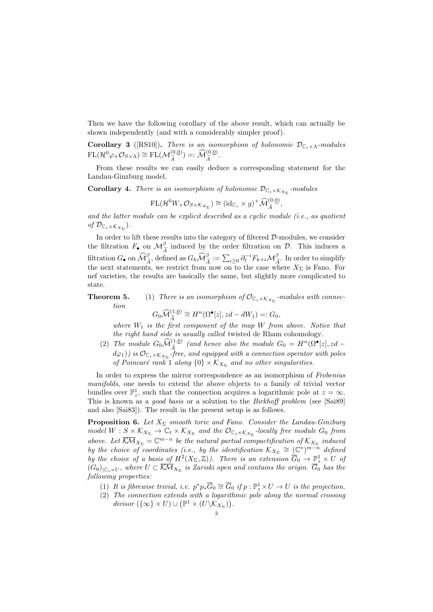Then we have the following corollary of the above result, which can actually be shown independently (and with a considerably simpler proof).

**Corollary 3** ([RS10]). There is an isomorphism of holonomic  $\mathcal{D}_{\mathbb{C}_z \times \Lambda}$ -modules  $FL(\mathcal{H}^0\varphi_{+}\mathcal{O}_{S\times\Lambda})\cong FL(\mathcal{M}_{\widetilde{A}}^{(0,\underline{0})})=:\widehat{\mathcal{M}}_{\widetilde{A}}^{(0,\underline{0})}.$ 

From these results we can easily deduce a corresponding statement for the Landau-Ginzburg model.

**Corollary 4.** There is an isomorphism of holonomic  $\mathcal{D}_{\mathbb{C}_z \times \mathcal{K}_{X_{\Sigma}}}$ -modules

$$
\mathrm{FL}(\mathcal{H}^0 W_+ \mathcal{O}_{S \times K_{X_\Sigma}}) \cong (\mathrm{id}_{\mathbb{C}_z} \times g)^+ \widehat{\mathcal{M}}_{\widetilde{A}}^{(0,\underline{0})},
$$

and the latter module can be explicit described as a cyclic module (i.e., as quotient of  $\mathcal{D}_{\mathbb{C}_z\times \mathcal{K}_{X_{\Sigma}}}$ ).

In order to lift these results into the category of filtered D-modules, we consider the filtration  $F_{\bullet}$  on  $\mathcal{M}_{\tilde{\Lambda}}^{\beta}$  induced by the order filtration on  $\mathcal{D}$ . This induces a filtration  $G_{\bullet}$  on  $\widehat{\mathcal{M}}_{\widehat{A}}^{\beta}$ , defined as  $G_k \widehat{\mathcal{M}}_{\widehat{A}}^{\beta} := \sum_{i \geq 0} \partial_i^{-i} F_{k+i} \mathcal{M}_{\widehat{A}}^{\beta}$ . In order to simplify<br>the next statements, we pertuit from new on to the sess where Y, is Fancy Form the next statements, we restrict from now on to the case where  $X_{\Sigma}$  is Fano. For nef varieties, the results are basically the same, but slightly more complicated to state.

**Theorem 5.** (1) There is an isomorphism of  $\mathcal{O}_{\mathbb{C}_z \times \mathcal{K}_{X_{\Sigma}}}$ -modules with connection

$$
G_0 \widehat{\mathcal{M}}_{\widetilde{A}}^{(1,\underline{0})} \cong H^n(\Omega^\bullet[z], zd - dW_1) =: G_0,
$$

 $G_0 \widehat{\mathcal{M}}_{\widetilde{A}}^{(1,0)} \cong H^n(\Omega^{\bullet}[z], zd - dW_1) =: G_0,$ <br>where  $W_1$  is the first component of the map W from above. Notice that the right hand side is usually called twisted de Rham cohomology.

(2) The module  $G_0 \mathcal{M}_{\tilde{A}}^{(1,0)}$  (and hence also the module  $G_0 = H^n(\Omega^{\bullet}[z], zd$  $d\varphi_1)$ ) is  $\mathcal{O}_{\mathbb{C}_z\times \mathcal{K}_{X_\Sigma}}$ -free, and equipped with a connection operator with poles of Poincaré rank 1 along  $\{0\} \times K_{X_{\Sigma}}$  and no other singularities.

In order to express the mirror correspondence as an isomorphism of Frobenius manifolds, one needs to extend the above objects to a family of trivial vector bundles over  $\mathbb{P}^1_z$ , such that the connection acquires a logarithmic pole at  $z = \infty$ . This is known as a *good basis* or a solution to the *Birkhoff problem* (see [Sai89] and also [Sai83]). The result in the present setup is as follows.

**Proposition 6.** Let  $X_{\Sigma}$  smooth toric and Fano. Consider the Landau-Ginzburg model  $W: S \times \mathcal{K}_{X_{\Sigma}} \to \mathbb{C}_t \times \mathcal{K}_{X_{\Sigma}}$  and the  $\mathcal{O}_{\mathbb{C}_z \times \mathcal{K}_{X_{\Sigma}}}$ -locally free module  $G_0$  from above. Let  $\overline{\mathcal{K}\mathcal{M}}_{X_{\Sigma}} = \mathbb{C}^{m-n}$  be the natural partial compactification of  $\mathcal{K}_{X_{\Sigma}}$  induced by the choice of coordinates (i.e., by the identification  $K_{X_{\Sigma}} \cong (\mathbb{C}^*)^{m-n}$  defined by the choice of a basis of  $H^2(X_\Sigma, \mathbb{Z})$ ). There is an extension  $\overline{G}_0 \to \mathbb{P}^1_z \times U$  of  $(G_0)_{C_z \times U}$ , where  $U \subset \overline{K\mathcal{M}}_{X_{\Sigma}}$  is Zariski open and contains the origin.  $\overline{G}_0$  has the following properties:

- (1) It is fibrewise trivial, i.e.  $p^*p_*\overline{G}_0 \cong \overline{G}_0$  if  $p : \mathbb{P}_z^1 \times U \to U$  is the projection.
- (2) The connection extends with a logarithmic pole along the normal crossing divisor  $({\{\infty\}} \times U) \cup (\mathbb{P}^1 \times (U \backslash \mathcal{K}_{X_{\Sigma}})).$